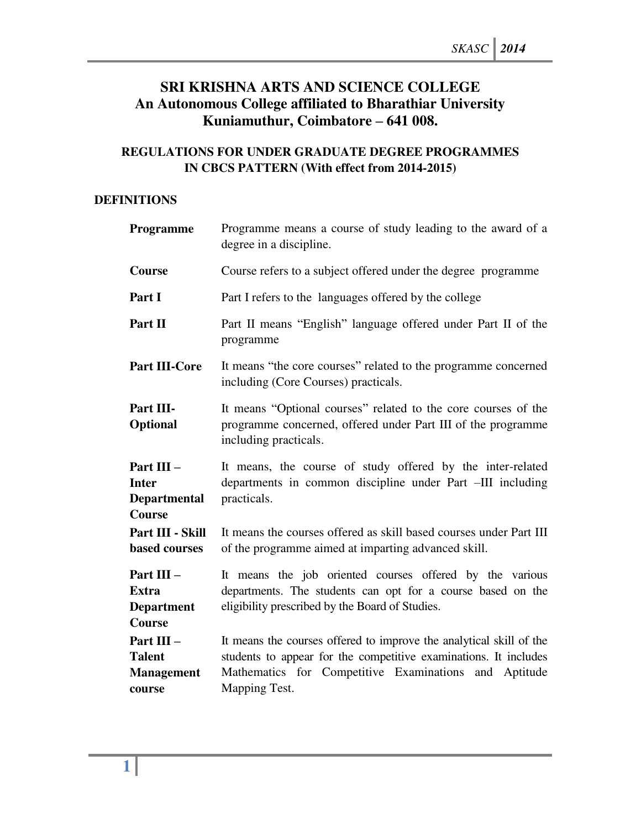# **SRI KRISHNA ARTS AND SCIENCE COLLEGE An Autonomous College affiliated to Bharathiar University Kuniamuthur, Coimbatore – 641 008.**

# **REGULATIONS FOR UNDER GRADUATE DEGREE PROGRAMMES IN CBCS PATTERN (With effect from 2014-2015)**

### **DEFINITIONS**

| Programme                                                   | Programme means a course of study leading to the award of a<br>degree in a discipline.                                                                                                                            |
|-------------------------------------------------------------|-------------------------------------------------------------------------------------------------------------------------------------------------------------------------------------------------------------------|
| Course                                                      | Course refers to a subject offered under the degree programme                                                                                                                                                     |
| Part I                                                      | Part I refers to the languages offered by the college                                                                                                                                                             |
| Part II                                                     | Part II means "English" language offered under Part II of the<br>programme                                                                                                                                        |
| <b>Part III-Core</b>                                        | It means "the core courses" related to the programme concerned<br>including (Core Courses) practicals.                                                                                                            |
| Part III-<br><b>Optional</b>                                | It means "Optional courses" related to the core courses of the<br>programme concerned, offered under Part III of the programme<br>including practicals.                                                           |
| Part III -<br><b>Inter</b><br><b>Departmental</b><br>Course | It means, the course of study offered by the inter-related<br>departments in common discipline under Part -III including<br>practicals.                                                                           |
| Part III - Skill<br><b>based courses</b>                    | It means the courses offered as skill based courses under Part III<br>of the programme aimed at imparting advanced skill.                                                                                         |
| Part III -<br><b>Extra</b><br><b>Department</b><br>Course   | It means the job oriented courses offered by the various<br>departments. The students can opt for a course based on the<br>eligibility prescribed by the Board of Studies.                                        |
| Part III -<br><b>Talent</b><br><b>Management</b><br>course  | It means the courses offered to improve the analytical skill of the<br>students to appear for the competitive examinations. It includes<br>Mathematics for Competitive Examinations and Aptitude<br>Mapping Test. |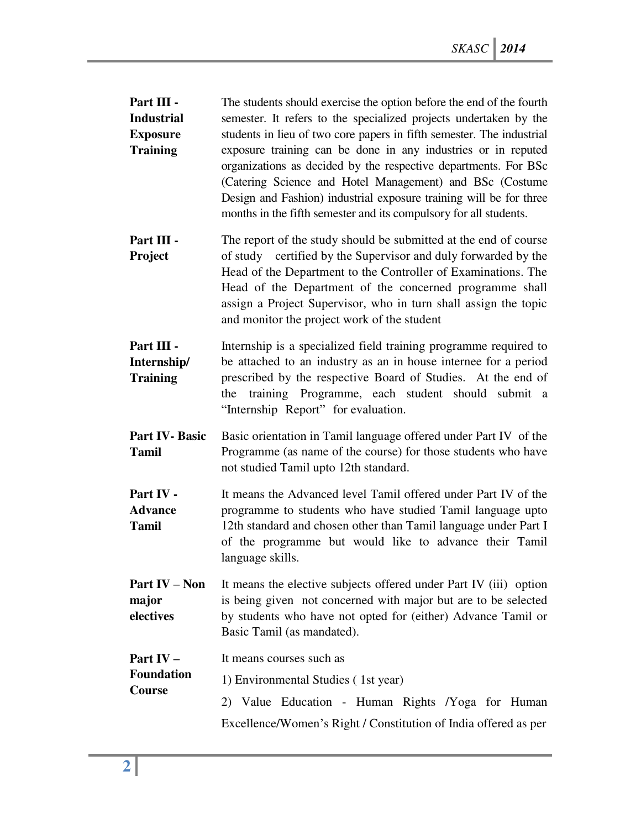- **Part III Industrial Exposure Training**  The students should exercise the option before the end of the fourth semester. It refers to the specialized projects undertaken by the students in lieu of two core papers in fifth semester. The industrial exposure training can be done in any industries or in reputed organizations as decided by the respective departments. For BSc (Catering Science and Hotel Management) and BSc (Costume Design and Fashion) industrial exposure training will be for three months in the fifth semester and its compulsory for all students.
- **Part III Project**  The report of the study should be submitted at the end of course of study certified by the Supervisor and duly forwarded by the Head of the Department to the Controller of Examinations. The Head of the Department of the concerned programme shall assign a Project Supervisor, who in turn shall assign the topic and monitor the project work of the student

**Part III - Internship/ Training**  Internship is a specialized field training programme required to be attached to an industry as an in house internee for a period prescribed by the respective Board of Studies. At the end of the training Programme, each student should submit a "Internship Report" for evaluation.

- **Part IV- Basic Tamil**  Basic orientation in Tamil language offered under Part IV of the Programme (as name of the course) for those students who have not studied Tamil upto 12th standard.
- **Part IV Advance Tamil**  It means the Advanced level Tamil offered under Part IV of the programme to students who have studied Tamil language upto 12th standard and chosen other than Tamil language under Part I of the programme but would like to advance their Tamil language skills.
- **Part IV – Non major electives**  It means the elective subjects offered under Part IV (iii) option is being given not concerned with major but are to be selected by students who have not opted for (either) Advance Tamil or Basic Tamil (as mandated).

**Part IV –** It means courses such as

**Foundation Course**  1) Environmental Studies ( 1st year) 2) Value Education - Human Rights /Yoga for Human

Excellence/Women's Right / Constitution of India offered as per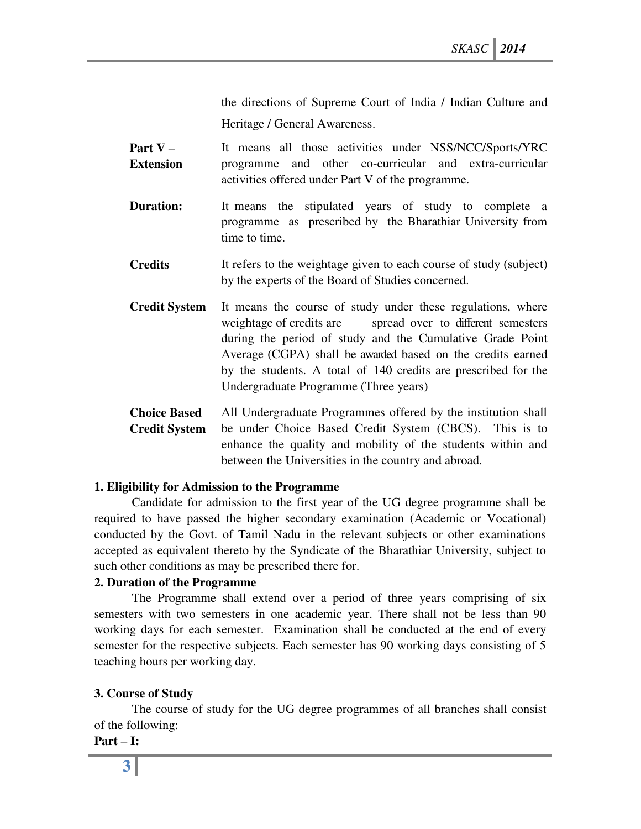the directions of Supreme Court of India / Indian Culture and Heritage / General Awareness.

- **Part V – Extension**  It means all those activities under NSS/NCC/Sports/YRC programme and other co-curricular and extra-curricular activities offered under Part V of the programme.
- **Duration:** It means the stipulated years of study to complete a programme as prescribed by the Bharathiar University from time to time.
- **Credits** It refers to the weightage given to each course of study (subject) by the experts of the Board of Studies concerned.
- **Credit System** It means the course of study under these regulations, where weightage of credits are spread over to different semesters during the period of study and the Cumulative Grade Point Average (CGPA) shall be awarded based on the credits earned by the students. A total of 140 credits are prescribed for the Undergraduate Programme (Three years)
- **Choice Based Credit System**  All Undergraduate Programmes offered by the institution shall be under Choice Based Credit System (CBCS). This is to enhance the quality and mobility of the students within and between the Universities in the country and abroad.

### **1. Eligibility for Admission to the Programme**

Candidate for admission to the first year of the UG degree programme shall be required to have passed the higher secondary examination (Academic or Vocational) conducted by the Govt. of Tamil Nadu in the relevant subjects or other examinations accepted as equivalent thereto by the Syndicate of the Bharathiar University, subject to such other conditions as may be prescribed there for.

### **2. Duration of the Programme**

The Programme shall extend over a period of three years comprising of six semesters with two semesters in one academic year. There shall not be less than 90 working days for each semester. Examination shall be conducted at the end of every semester for the respective subjects. Each semester has 90 working days consisting of 5 teaching hours per working day.

### **3. Course of Study**

The course of study for the UG degree programmes of all branches shall consist of the following:

**Part – I:**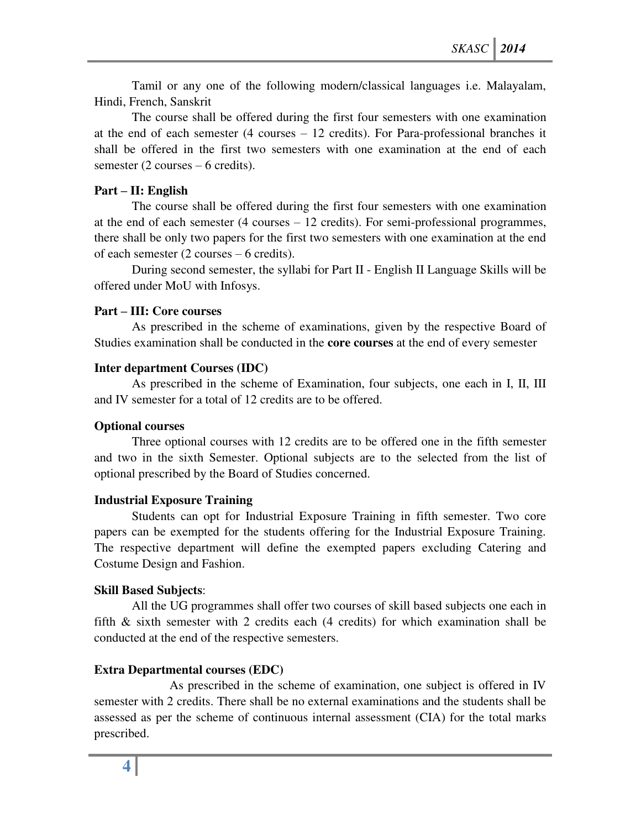Tamil or any one of the following modern/classical languages i.e. Malayalam, Hindi, French, Sanskrit

The course shall be offered during the first four semesters with one examination at the end of each semester (4 courses – 12 credits). For Para-professional branches it shall be offered in the first two semesters with one examination at the end of each semester (2 courses – 6 credits).

### **Part – II: English**

The course shall be offered during the first four semesters with one examination at the end of each semester (4 courses – 12 credits). For semi-professional programmes, there shall be only two papers for the first two semesters with one examination at the end of each semester (2 courses – 6 credits).

During second semester, the syllabi for Part II - English II Language Skills will be offered under MoU with Infosys.

### **Part – III: Core courses**

As prescribed in the scheme of examinations, given by the respective Board of Studies examination shall be conducted in the **core courses** at the end of every semester

### **Inter department Courses (IDC)**

As prescribed in the scheme of Examination, four subjects, one each in I, II, III and IV semester for a total of 12 credits are to be offered.

## **Optional courses**

Three optional courses with 12 credits are to be offered one in the fifth semester and two in the sixth Semester. Optional subjects are to the selected from the list of optional prescribed by the Board of Studies concerned.

### **Industrial Exposure Training**

Students can opt for Industrial Exposure Training in fifth semester. Two core papers can be exempted for the students offering for the Industrial Exposure Training. The respective department will define the exempted papers excluding Catering and Costume Design and Fashion.

### **Skill Based Subjects**:

All the UG programmes shall offer two courses of skill based subjects one each in fifth & sixth semester with 2 credits each (4 credits) for which examination shall be conducted at the end of the respective semesters.

## **Extra Departmental courses (EDC)**

 As prescribed in the scheme of examination, one subject is offered in IV semester with 2 credits. There shall be no external examinations and the students shall be assessed as per the scheme of continuous internal assessment (CIA) for the total marks prescribed.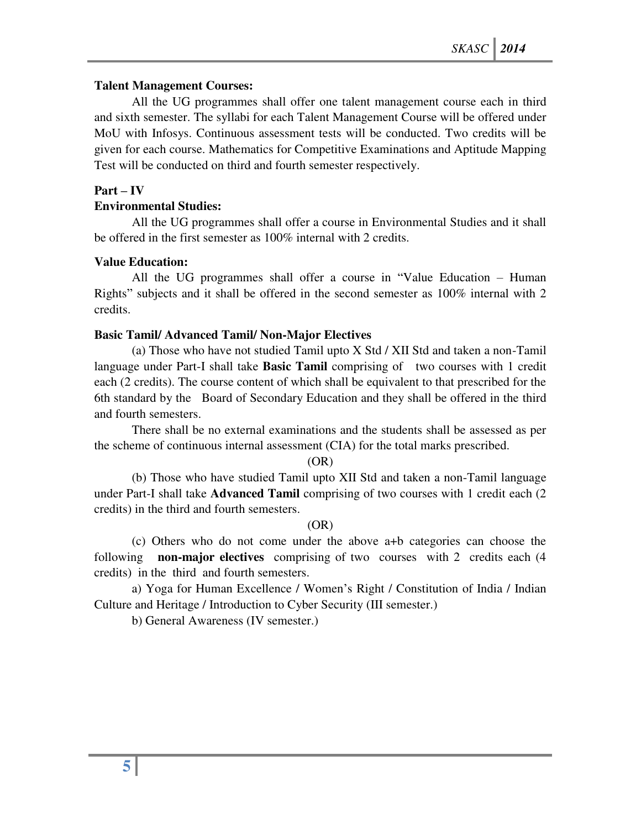## **Talent Management Courses:**

All the UG programmes shall offer one talent management course each in third and sixth semester. The syllabi for each Talent Management Course will be offered under MoU with Infosys. Continuous assessment tests will be conducted. Two credits will be given for each course. Mathematics for Competitive Examinations and Aptitude Mapping Test will be conducted on third and fourth semester respectively.

### $Part - IV$

### **Environmental Studies:**

All the UG programmes shall offer a course in Environmental Studies and it shall be offered in the first semester as 100% internal with 2 credits.

### **Value Education:**

All the UG programmes shall offer a course in "Value Education – Human Rights" subjects and it shall be offered in the second semester as 100% internal with 2 credits.

### **Basic Tamil/ Advanced Tamil/ Non-Major Electives**

(a) Those who have not studied Tamil upto X Std / XII Std and taken a non-Tamil language under Part-I shall take **Basic Tamil** comprising of two courses with 1 credit each (2 credits). The course content of which shall be equivalent to that prescribed for the 6th standard by the Board of Secondary Education and they shall be offered in the third and fourth semesters.

There shall be no external examinations and the students shall be assessed as per the scheme of continuous internal assessment (CIA) for the total marks prescribed.

(OR)

(b) Those who have studied Tamil upto XII Std and taken a non-Tamil language under Part-I shall take **Advanced Tamil** comprising of two courses with 1 credit each (2 credits) in the third and fourth semesters.

### (OR)

(c) Others who do not come under the above a+b categories can choose the following **non-major electives** comprising of two courses with 2 credits each (4 credits) in the third and fourth semesters.

a) Yoga for Human Excellence / Women's Right / Constitution of India / Indian Culture and Heritage / Introduction to Cyber Security (III semester.)

b) General Awareness (IV semester.)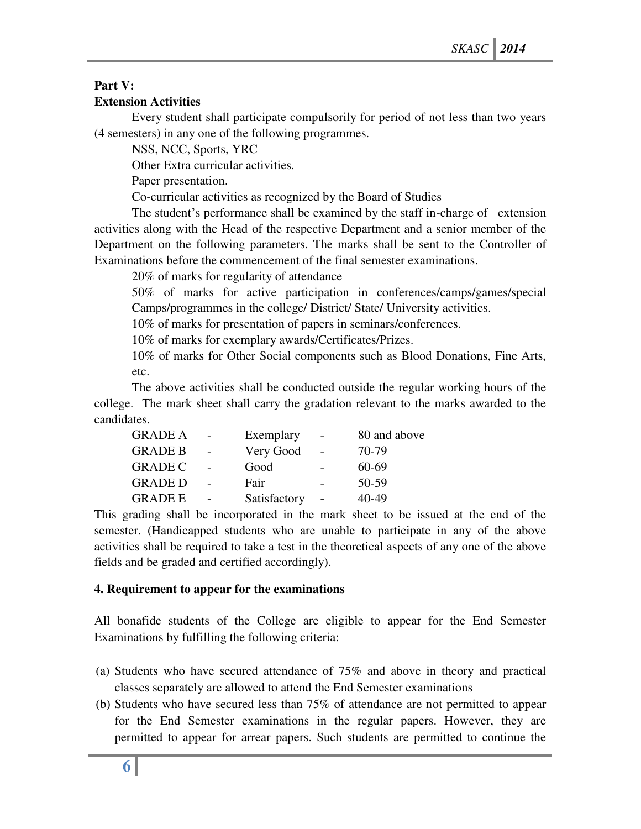# **Part V:**

## **Extension Activities**

Every student shall participate compulsorily for period of not less than two years (4 semesters) in any one of the following programmes.

NSS, NCC, Sports, YRC

Other Extra curricular activities.

Paper presentation.

Co-curricular activities as recognized by the Board of Studies

The student's performance shall be examined by the staff in-charge of extension activities along with the Head of the respective Department and a senior member of the Department on the following parameters. The marks shall be sent to the Controller of Examinations before the commencement of the final semester examinations.

20% of marks for regularity of attendance

50% of marks for active participation in conferences/camps/games/special Camps/programmes in the college/ District/ State/ University activities.

10% of marks for presentation of papers in seminars/conferences.

10% of marks for exemplary awards/Certificates/Prizes.

10% of marks for Other Social components such as Blood Donations, Fine Arts, etc.

The above activities shall be conducted outside the regular working hours of the college. The mark sheet shall carry the gradation relevant to the marks awarded to the candidates.

| <b>GRADE A</b> | Exemplary    | 80 and above |
|----------------|--------------|--------------|
| <b>GRADE B</b> | Very Good    | 70-79        |
| <b>GRADE C</b> | Good         | 60-69        |
| <b>GRADE D</b> | Fair         | 50-59        |
| <b>GRADE E</b> | Satisfactory | $40 - 49$    |

This grading shall be incorporated in the mark sheet to be issued at the end of the semester. (Handicapped students who are unable to participate in any of the above activities shall be required to take a test in the theoretical aspects of any one of the above fields and be graded and certified accordingly).

## **4. Requirement to appear for the examinations**

All bonafide students of the College are eligible to appear for the End Semester Examinations by fulfilling the following criteria:

- (a) Students who have secured attendance of 75% and above in theory and practical classes separately are allowed to attend the End Semester examinations
- (b) Students who have secured less than 75% of attendance are not permitted to appear for the End Semester examinations in the regular papers. However, they are permitted to appear for arrear papers. Such students are permitted to continue the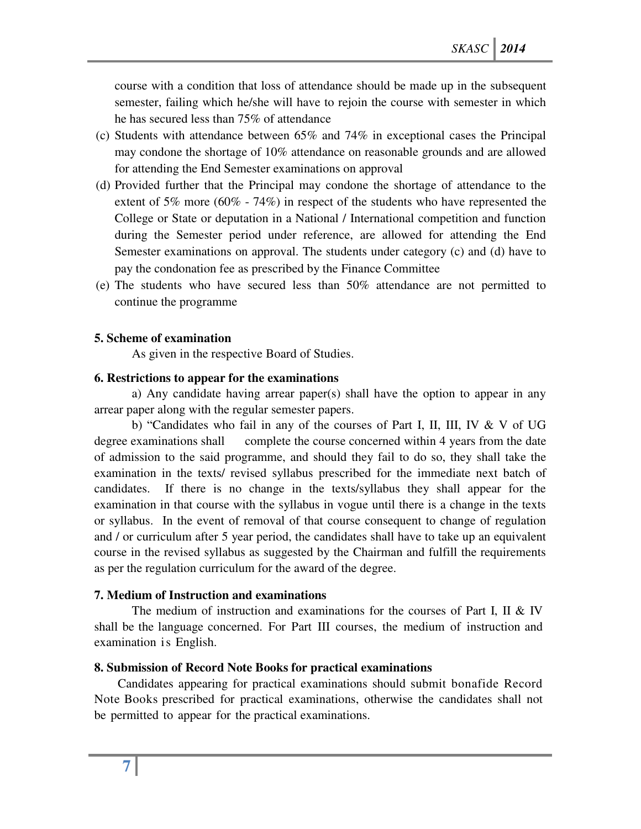course with a condition that loss of attendance should be made up in the subsequent semester, failing which he/she will have to rejoin the course with semester in which he has secured less than 75% of attendance

- (c) Students with attendance between 65% and 74% in exceptional cases the Principal may condone the shortage of 10% attendance on reasonable grounds and are allowed for attending the End Semester examinations on approval
- (d) Provided further that the Principal may condone the shortage of attendance to the extent of 5% more (60% - 74%) in respect of the students who have represented the College or State or deputation in a National / International competition and function during the Semester period under reference, are allowed for attending the End Semester examinations on approval. The students under category (c) and (d) have to pay the condonation fee as prescribed by the Finance Committee
- (e) The students who have secured less than 50% attendance are not permitted to continue the programme

#### **5. Scheme of examination**

As given in the respective Board of Studies.

#### **6. Restrictions to appear for the examinations**

a) Any candidate having arrear paper(s) shall have the option to appear in any arrear paper along with the regular semester papers.

b) "Candidates who fail in any of the courses of Part I, II, III, IV & V of UG degree examinations shall complete the course concerned within 4 years from the date of admission to the said programme, and should they fail to do so, they shall take the examination in the texts/ revised syllabus prescribed for the immediate next batch of candidates. If there is no change in the texts/syllabus they shall appear for the examination in that course with the syllabus in vogue until there is a change in the texts or syllabus. In the event of removal of that course consequent to change of regulation and / or curriculum after 5 year period, the candidates shall have to take up an equivalent course in the revised syllabus as suggested by the Chairman and fulfill the requirements as per the regulation curriculum for the award of the degree.

### **7. Medium of Instruction and examinations**

The medium of instruction and examinations for the courses of Part I, II & IV shall be the language concerned. For Part III courses, the medium of instruction and examination is English.

### **8. Submission of Record Note Books for practical examinations**

Candidates appearing for practical examinations should submit bonafide Record Note Books prescribed for practical examinations, otherwise the candidates shall not be permitted to appear for the practical examinations.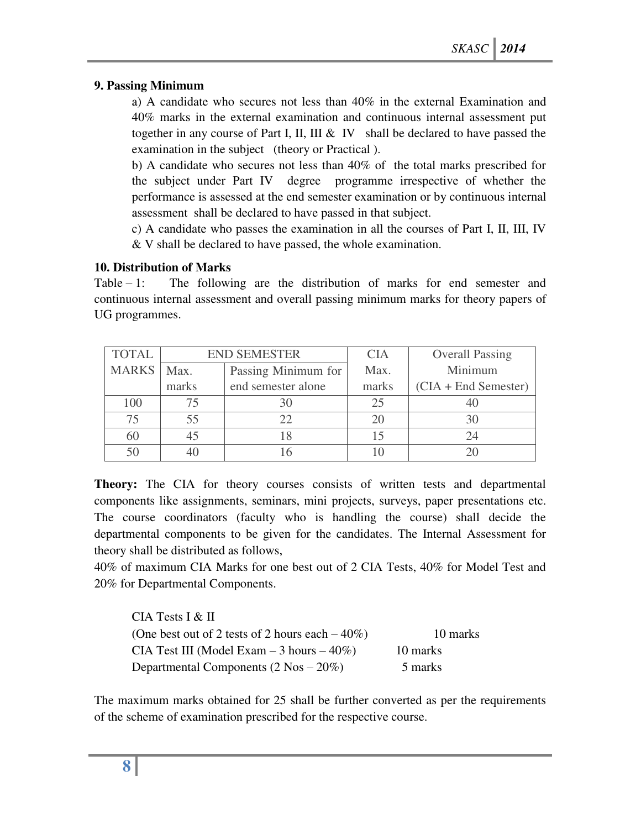## **9. Passing Minimum**

a) A candidate who secures not less than 40% in the external Examination and 40% marks in the external examination and continuous internal assessment put together in any course of Part I, II, III  $\&$  IV shall be declared to have passed the examination in the subject (theory or Practical ).

b) A candidate who secures not less than 40% of the total marks prescribed for the subject under Part IV degree programme irrespective of whether the performance is assessed at the end semester examination or by continuous internal assessment shall be declared to have passed in that subject.

c) A candidate who passes the examination in all the courses of Part I, II, III, IV & V shall be declared to have passed, the whole examination.

## **10. Distribution of Marks**

Table  $-1$ : The following are the distribution of marks for end semester and continuous internal assessment and overall passing minimum marks for theory papers of UG programmes.

| <b>TOTAL</b> | <b>END SEMESTER</b> |                     | <b>CIA</b> | <b>Overall Passing</b> |
|--------------|---------------------|---------------------|------------|------------------------|
| <b>MARKS</b> | Max.                | Passing Minimum for |            | Minimum                |
|              | marks               | end semester alone  | marks      | $(CIA + End Semester)$ |
| 100          |                     |                     | 25         |                        |
| 75           |                     |                     |            |                        |
| 60           |                     |                     |            |                        |
|              |                     |                     |            |                        |

**Theory:** The CIA for theory courses consists of written tests and departmental components like assignments, seminars, mini projects, surveys, paper presentations etc. The course coordinators (faculty who is handling the course) shall decide the departmental components to be given for the candidates. The Internal Assessment for theory shall be distributed as follows,

40% of maximum CIA Marks for one best out of 2 CIA Tests, 40% for Model Test and 20% for Departmental Components.

| $CIA$ Tests I & II                                 |          |
|----------------------------------------------------|----------|
| (One best out of 2 tests of 2 hours each $-40\%$ ) | 10 marks |
| CIA Test III (Model Exam $-3$ hours $-40\%$ )      | 10 marks |
| Departmental Components $(2 \text{ Nos} - 20\%)$   | 5 marks  |

The maximum marks obtained for 25 shall be further converted as per the requirements of the scheme of examination prescribed for the respective course.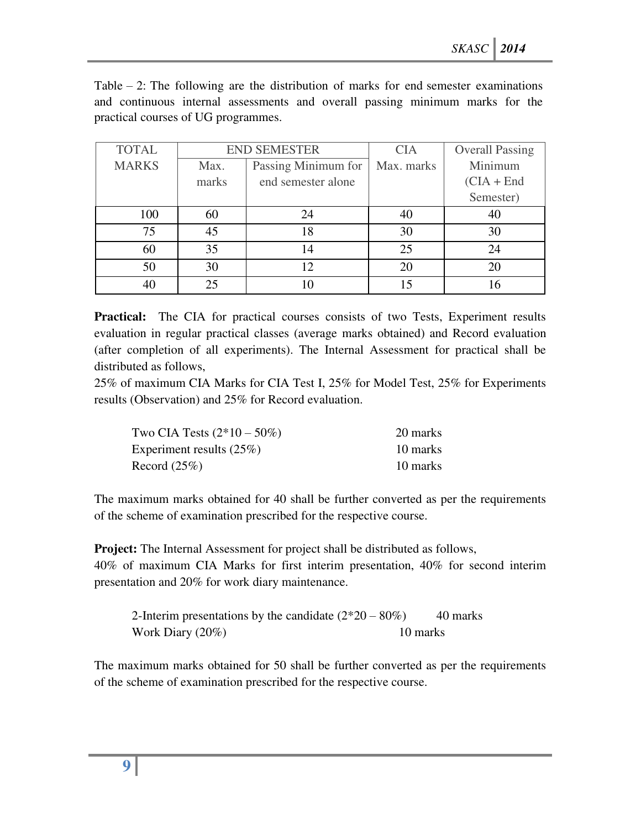Table  $-2$ : The following are the distribution of marks for end semester examinations and continuous internal assessments and overall passing minimum marks for the practical courses of UG programmes.

| <b>TOTAL</b> | <b>END SEMESTER</b> |                     | <b>CIA</b> | <b>Overall Passing</b> |
|--------------|---------------------|---------------------|------------|------------------------|
| <b>MARKS</b> | Max.                | Passing Minimum for | Max. marks | Minimum                |
|              | marks               | end semester alone  |            | $(CIA + End$           |
|              |                     |                     |            | Semester)              |
| 100          | 60                  | 24                  | 40         | 40                     |
| 75           | 45                  | 18                  | 30         | 30                     |
| 60           | 35                  | 14                  | 25         | 24                     |
| 50           | 30                  | 12                  | 20         | 20                     |
|              | 25                  |                     | 15         | 16                     |

**Practical:** The CIA for practical courses consists of two Tests, Experiment results evaluation in regular practical classes (average marks obtained) and Record evaluation (after completion of all experiments). The Internal Assessment for practical shall be distributed as follows,

25% of maximum CIA Marks for CIA Test I, 25% for Model Test, 25% for Experiments results (Observation) and 25% for Record evaluation.

| Two CIA Tests $(2*10 - 50\%)$ | 20 marks |
|-------------------------------|----------|
| Experiment results $(25%)$    | 10 marks |
| Record $(25\%)$               | 10 marks |

The maximum marks obtained for 40 shall be further converted as per the requirements of the scheme of examination prescribed for the respective course.

**Project:** The Internal Assessment for project shall be distributed as follows, 40% of maximum CIA Marks for first interim presentation, 40% for second interim presentation and 20% for work diary maintenance.

2-Interim presentations by the candidate  $(2*20 - 80%)$  40 marks Work Diary (20%) 10 marks

The maximum marks obtained for 50 shall be further converted as per the requirements of the scheme of examination prescribed for the respective course.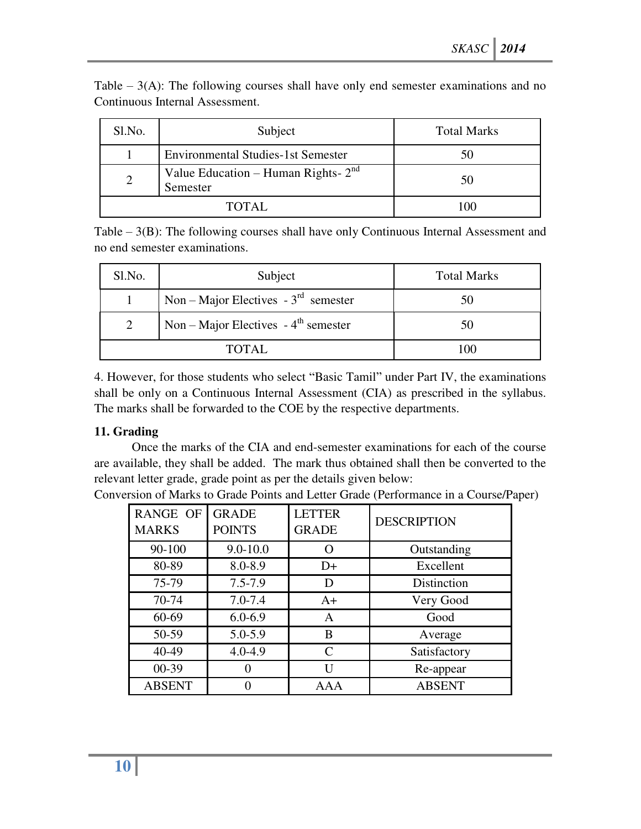| Sl.No. | Subject                                           | <b>Total Marks</b> |
|--------|---------------------------------------------------|--------------------|
|        | <b>Environmental Studies-1st Semester</b>         | 50                 |
|        | Value Education – Human Rights- $2nd$<br>Semester | 50                 |
| TOTAL. |                                                   |                    |

Table  $-3(A)$ : The following courses shall have only end semester examinations and no Continuous Internal Assessment.

Table – 3(B): The following courses shall have only Continuous Internal Assessment and no end semester examinations.

| Sl.No. | Subject                                          | <b>Total Marks</b> |
|--------|--------------------------------------------------|--------------------|
|        | Non – Major Electives - $3rd$ semester           | 50                 |
| 2      | Non – Major Electives - $4^{\text{th}}$ semester | 50                 |
|        | TOTAL                                            | 100                |

4. However, for those students who select "Basic Tamil" under Part IV, the examinations shall be only on a Continuous Internal Assessment (CIA) as prescribed in the syllabus. The marks shall be forwarded to the COE by the respective departments.

## **11. Grading**

Once the marks of the CIA and end-semester examinations for each of the course are available, they shall be added. The mark thus obtained shall then be converted to the relevant letter grade, grade point as per the details given below:

| <b>RANGE OF</b><br><b>MARKS</b> | <b>GRADE</b><br><b>POINTS</b> | <b>LETTER</b><br><b>GRADE</b> | <b>DESCRIPTION</b> |
|---------------------------------|-------------------------------|-------------------------------|--------------------|
| 90-100                          | $9.0 - 10.0$                  |                               | Outstanding        |
| 80-89                           | 8.0-8.9                       | $D+$                          | Excellent          |
| 75-79                           | $7.5 - 7.9$                   | Ð                             | Distinction        |
| 70-74                           | $7.0 - 7.4$                   | $A+$                          | Very Good          |
| 60-69                           | $6.0 - 6.9$                   | A                             | Good               |
| 50-59                           | 5.0-5.9                       | B                             | Average            |
| 40-49                           | $4.0 - 4.9$                   | $\mathcal{C}_{\mathcal{C}}$   | Satisfactory       |
| $00 - 39$                       |                               | Ħ                             | Re-appear          |
| <b>ABSENT</b>                   |                               | AAA                           | <b>ABSENT</b>      |

Conversion of Marks to Grade Points and Letter Grade (Performance in a Course/Paper)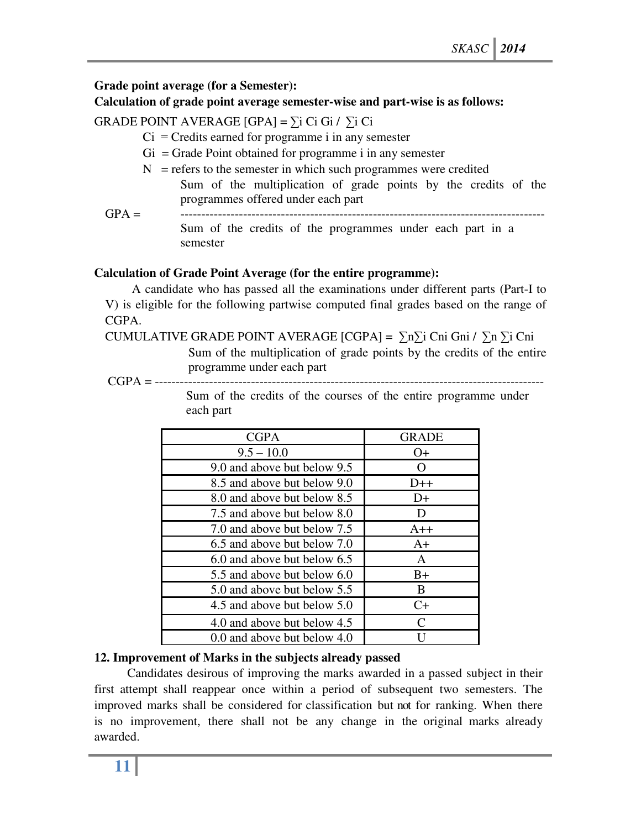## **Grade point average (for a Semester):**

### **Calculation of grade point average semester-wise and part-wise is as follows:**

GRADE POINT AVERAGE  $[GPA] = \sum_i Ci$  Gi /  $\sum_i Ci$ 

- $Ci = C$ redits earned for programme i in any semester
- $Gi = Grade Point obtained for programme i in any semester$
- $N =$  refers to the semester in which such programmes were credited
- Sum of the multiplication of grade points by the credits of the programmes offered under each part
- GPA = --------------------------------------------------------------------------------------- Sum of the credits of the programmes under each part in a semester

### **Calculation of Grade Point Average (for the entire programme):**

A candidate who has passed all the examinations under different parts (Part-I to V) is eligible for the following partwise computed final grades based on the range of CGPA.

CUMULATIVE GRADE POINT AVERAGE  $[CGPA] = \sum n\sum i Cni Gni / \sum n\sum i Cni$ 

Sum of the multiplication of grade points by the credits of the entire programme under each part

CGPA = ---------------------------------------------------------------------------------------------

Sum of the credits of the courses of the entire programme under each part

| <b>CGPA</b>                 | <b>GRADE</b>                |
|-----------------------------|-----------------------------|
| $9.5 - 10.0$                | $O+$                        |
| 9.0 and above but below 9.5 | $\left( \ \right)$          |
| 8.5 and above but below 9.0 | $D++$                       |
| 8.0 and above but below 8.5 | $D+$                        |
| 7.5 and above but below 8.0 | Ð                           |
| 7.0 and above but below 7.5 | $A++$                       |
| 6.5 and above but below 7.0 | $A+$                        |
| 6.0 and above but below 6.5 | A                           |
| 5.5 and above but below 6.0 | $B+$                        |
| 5.0 and above but below 5.5 | <sub>B</sub>                |
| 4.5 and above but below 5.0 | $C+$                        |
| 4.0 and above but below 4.5 | $\mathcal{C}_{\mathcal{C}}$ |
| 0.0 and above but below 4.0 |                             |

## **12. Improvement of Marks in the subjects already passed**

Candidates desirous of improving the marks awarded in a passed subject in their first attempt shall reappear once within a period of subsequent two semesters. The improved marks shall be considered for classification but not for ranking. When there is no improvement, there shall not be any change in the original marks already awarded.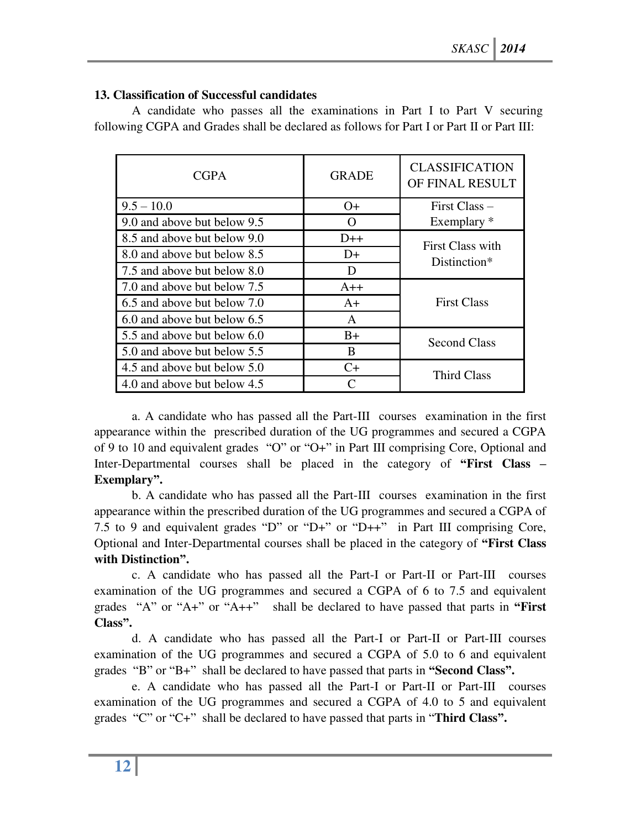## **13. Classification of Successful candidates**

 A candidate who passes all the examinations in Part I to Part V securing following CGPA and Grades shall be declared as follows for Part I or Part II or Part III:

| <b>CGPA</b>                 | <b>GRADE</b> | <b>CLASSIFICATION</b><br>OF FINAL RESULT |  |
|-----------------------------|--------------|------------------------------------------|--|
| $9.5 - 10.0$                | $O+$         | $First Class -$                          |  |
| 9.0 and above but below 9.5 | ( )          | Exemplary *                              |  |
| 8.5 and above but below 9.0 | $D++$        | First Class with                         |  |
| 8.0 and above but below 8.5 | D+           | Distinction*                             |  |
| 7.5 and above but below 8.0 | D            |                                          |  |
| 7.0 and above but below 7.5 | $A++$        |                                          |  |
| 6.5 and above but below 7.0 | $A+$         | <b>First Class</b>                       |  |
| 6.0 and above but below 6.5 | A            |                                          |  |
| 5.5 and above but below 6.0 | $B+$         | <b>Second Class</b>                      |  |
| 5.0 and above but below 5.5 | B            |                                          |  |
| 4.5 and above but below 5.0 | C+           | Third Class                              |  |
| 4.0 and above but below 4.5 |              |                                          |  |

a. A candidate who has passed all the Part-III courses examination in the first appearance within the prescribed duration of the UG programmes and secured a CGPA of 9 to 10 and equivalent grades "O" or "O+" in Part III comprising Core, Optional and Inter-Departmental courses shall be placed in the category of **"First Class – Exemplary".** 

b. A candidate who has passed all the Part-III courses examination in the first appearance within the prescribed duration of the UG programmes and secured a CGPA of 7.5 to 9 and equivalent grades "D" or "D+" or "D++" in Part III comprising Core, Optional and Inter-Departmental courses shall be placed in the category of **"First Class with Distinction".** 

c. A candidate who has passed all the Part-I or Part-II or Part-III courses examination of the UG programmes and secured a CGPA of 6 to 7.5 and equivalent grades "A" or "A+" or "A++" shall be declared to have passed that parts in **"First Class".** 

d. A candidate who has passed all the Part-I or Part-II or Part-III courses examination of the UG programmes and secured a CGPA of 5.0 to 6 and equivalent grades "B" or "B+" shall be declared to have passed that parts in **"Second Class".** 

e. A candidate who has passed all the Part-I or Part-II or Part-III courses examination of the UG programmes and secured a CGPA of 4.0 to 5 and equivalent grades "C" or "C+" shall be declared to have passed that parts in "**Third Class".**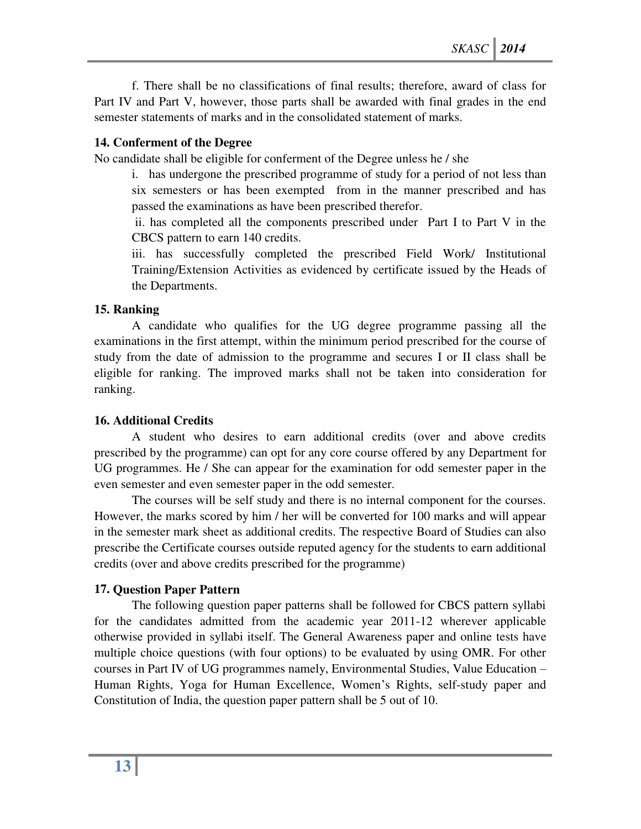f. There shall be no classifications of final results; therefore, award of class for Part IV and Part V, however, those parts shall be awarded with final grades in the end semester statements of marks and in the consolidated statement of marks.

## **14. Conferment of the Degree**

No candidate shall be eligible for conferment of the Degree unless he / she

i. has undergone the prescribed programme of study for a period of not less than six semesters or has been exempted from in the manner prescribed and has passed the examinations as have been prescribed therefor.

 ii. has completed all the components prescribed under Part I to Part V in the CBCS pattern to earn 140 credits.

iii. has successfully completed the prescribed Field Work/ Institutional Training/Extension Activities as evidenced by certificate issued by the Heads of the Departments.

## **15. Ranking**

A candidate who qualifies for the UG degree programme passing all the examinations in the first attempt, within the minimum period prescribed for the course of study from the date of admission to the programme and secures I or II class shall be eligible for ranking. The improved marks shall not be taken into consideration for ranking.

## **16. Additional Credits**

A student who desires to earn additional credits (over and above credits prescribed by the programme) can opt for any core course offered by any Department for UG programmes. He / She can appear for the examination for odd semester paper in the even semester and even semester paper in the odd semester.

The courses will be self study and there is no internal component for the courses. However, the marks scored by him / her will be converted for 100 marks and will appear in the semester mark sheet as additional credits. The respective Board of Studies can also prescribe the Certificate courses outside reputed agency for the students to earn additional credits (over and above credits prescribed for the programme)

## **17. Question Paper Pattern**

The following question paper patterns shall be followed for CBCS pattern syllabi for the candidates admitted from the academic year 2011-12 wherever applicable otherwise provided in syllabi itself. The General Awareness paper and online tests have multiple choice questions (with four options) to be evaluated by using OMR. For other courses in Part IV of UG programmes namely, Environmental Studies, Value Education – Human Rights, Yoga for Human Excellence, Women's Rights, self-study paper and Constitution of India, the question paper pattern shall be 5 out of 10.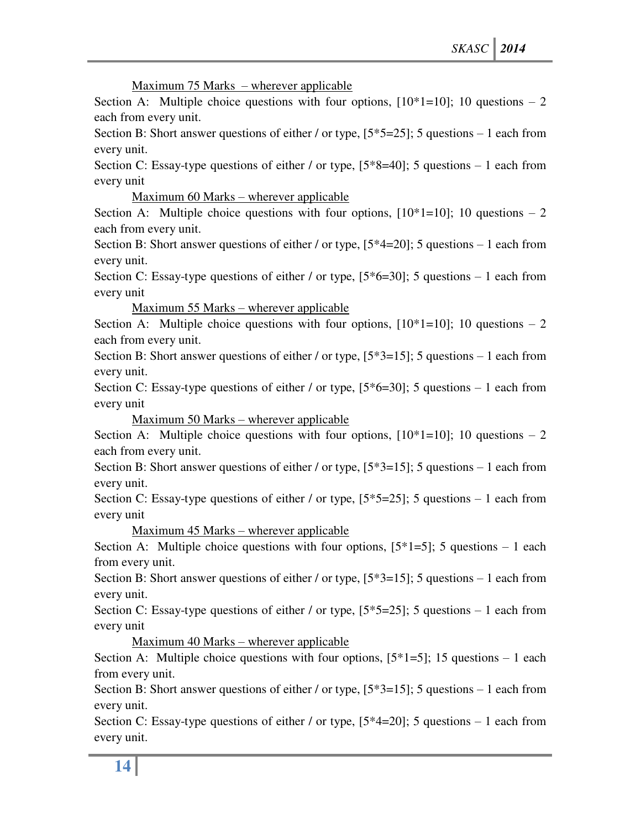Maximum 75 Marks – wherever applicable

Section A: Multiple choice questions with four options,  $[10*1=10]$ ; 10 questions – 2 each from every unit.

Section B: Short answer questions of either / or type,  $[5*5=25]$ ; 5 questions – 1 each from every unit.

Section C: Essay-type questions of either / or type,  $[5*8=40]$ ; 5 questions – 1 each from every unit

Maximum 60 Marks – wherever applicable

Section A: Multiple choice questions with four options,  $[10*1=10]$ ; 10 questions – 2 each from every unit.

Section B: Short answer questions of either / or type, [5\*4=20]; 5 questions – 1 each from every unit.

Section C: Essay-type questions of either / or type,  $[5*6=30]$ ; 5 questions – 1 each from every unit

Maximum 55 Marks – wherever applicable

Section A: Multiple choice questions with four options,  $[10*1=10]$ ; 10 questions – 2 each from every unit.

Section B: Short answer questions of either / or type,  $[5*3=15]$ ; 5 questions – 1 each from every unit.

Section C: Essay-type questions of either / or type,  $[5*6=30]$ ; 5 questions – 1 each from every unit

Maximum 50 Marks – wherever applicable

Section A: Multiple choice questions with four options,  $[10*1=10]$ ; 10 questions – 2 each from every unit.

Section B: Short answer questions of either / or type,  $[5*3=15]$ ; 5 questions – 1 each from every unit.

Section C: Essay-type questions of either / or type,  $[5*5=25]$ ; 5 questions – 1 each from every unit

Maximum 45 Marks – wherever applicable

Section A: Multiple choice questions with four options,  $[5^*1=5]$ ; 5 questions – 1 each from every unit.

Section B: Short answer questions of either / or type, [5\*3=15]; 5 questions – 1 each from every unit.

Section C: Essay-type questions of either / or type,  $[5*5=25]$ ; 5 questions – 1 each from every unit

Maximum 40 Marks – wherever applicable

Section A: Multiple choice questions with four options,  $[5^*1=5]$ ; 15 questions – 1 each from every unit.

Section B: Short answer questions of either / or type,  $[5*3=15]$ ; 5 questions – 1 each from every unit.

Section C: Essay-type questions of either / or type,  $[5*4=20]$ ; 5 questions – 1 each from every unit.